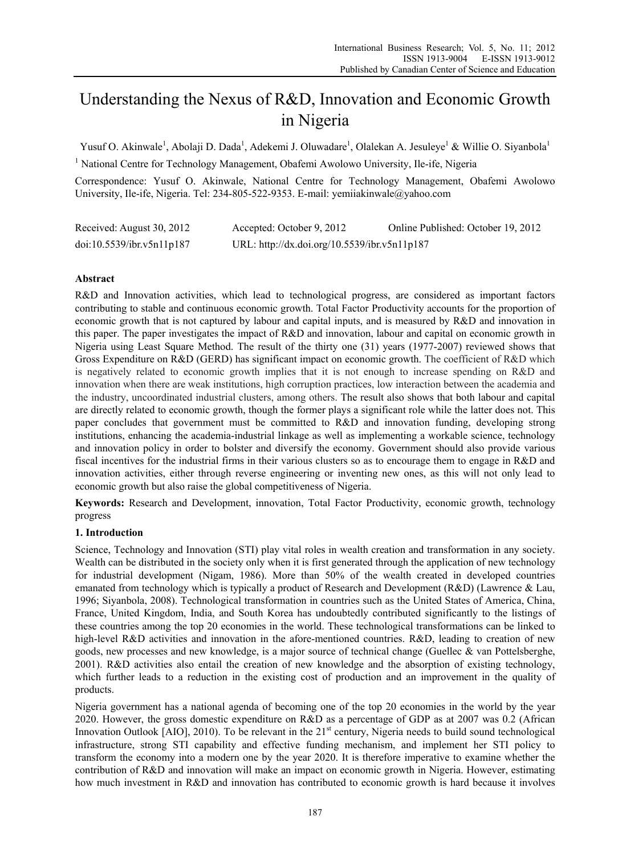# Understanding the Nexus of R&D, Innovation and Economic Growth in Nigeria

Yusuf O. Akinwale<sup>1</sup>, Abolaji D. Dada<sup>1</sup>, Adekemi J. Oluwadare<sup>1</sup>, Olalekan A. Jesuleye<sup>1</sup> & Willie O. Siyanbola<sup>1</sup>

<sup>1</sup> National Centre for Technology Management, Obafemi Awolowo University, Ile-ife, Nigeria

Correspondence: Yusuf O. Akinwale, National Centre for Technology Management, Obafemi Awolowo University, Ile-ife, Nigeria. Tel: 234-805-522-9353. E-mail: yemiiakinwale@yahoo.com

| Received: August 30, 2012 | Accepted: October 9, 2012                    | Online Published: October 19, 2012 |
|---------------------------|----------------------------------------------|------------------------------------|
| doi:10.5539/ibr.v5n11p187 | URL: http://dx.doi.org/10.5539/ibr.v5n11p187 |                                    |

# **Abstract**

R&D and Innovation activities, which lead to technological progress, are considered as important factors contributing to stable and continuous economic growth. Total Factor Productivity accounts for the proportion of economic growth that is not captured by labour and capital inputs, and is measured by R&D and innovation in this paper. The paper investigates the impact of R&D and innovation, labour and capital on economic growth in Nigeria using Least Square Method. The result of the thirty one (31) years (1977-2007) reviewed shows that Gross Expenditure on R&D (GERD) has significant impact on economic growth. The coefficient of R&D which is negatively related to economic growth implies that it is not enough to increase spending on R&D and innovation when there are weak institutions, high corruption practices, low interaction between the academia and the industry, uncoordinated industrial clusters, among others. The result also shows that both labour and capital are directly related to economic growth, though the former plays a significant role while the latter does not. This paper concludes that government must be committed to R&D and innovation funding, developing strong institutions, enhancing the academia-industrial linkage as well as implementing a workable science, technology and innovation policy in order to bolster and diversify the economy. Government should also provide various fiscal incentives for the industrial firms in their various clusters so as to encourage them to engage in R&D and innovation activities, either through reverse engineering or inventing new ones, as this will not only lead to economic growth but also raise the global competitiveness of Nigeria.

**Keywords:** Research and Development, innovation, Total Factor Productivity, economic growth, technology progress

## **1. Introduction**

Science, Technology and Innovation (STI) play vital roles in wealth creation and transformation in any society. Wealth can be distributed in the society only when it is first generated through the application of new technology for industrial development (Nigam, 1986). More than 50% of the wealth created in developed countries emanated from technology which is typically a product of Research and Development (R&D) (Lawrence & Lau, 1996; Siyanbola, 2008). Technological transformation in countries such as the United States of America, China, France, United Kingdom, India, and South Korea has undoubtedly contributed significantly to the listings of these countries among the top 20 economies in the world. These technological transformations can be linked to high-level R&D activities and innovation in the afore-mentioned countries. R&D, leading to creation of new goods, new processes and new knowledge, is a major source of technical change (Guellec & van Pottelsberghe, 2001). R&D activities also entail the creation of new knowledge and the absorption of existing technology, which further leads to a reduction in the existing cost of production and an improvement in the quality of products.

Nigeria government has a national agenda of becoming one of the top 20 economies in the world by the year 2020. However, the gross domestic expenditure on R&D as a percentage of GDP as at 2007 was 0.2 (African Innovation Outlook  $[AIO]$ , 2010). To be relevant in the  $21<sup>st</sup>$  century, Nigeria needs to build sound technological infrastructure, strong STI capability and effective funding mechanism, and implement her STI policy to transform the economy into a modern one by the year 2020. It is therefore imperative to examine whether the contribution of R&D and innovation will make an impact on economic growth in Nigeria. However, estimating how much investment in R&D and innovation has contributed to economic growth is hard because it involves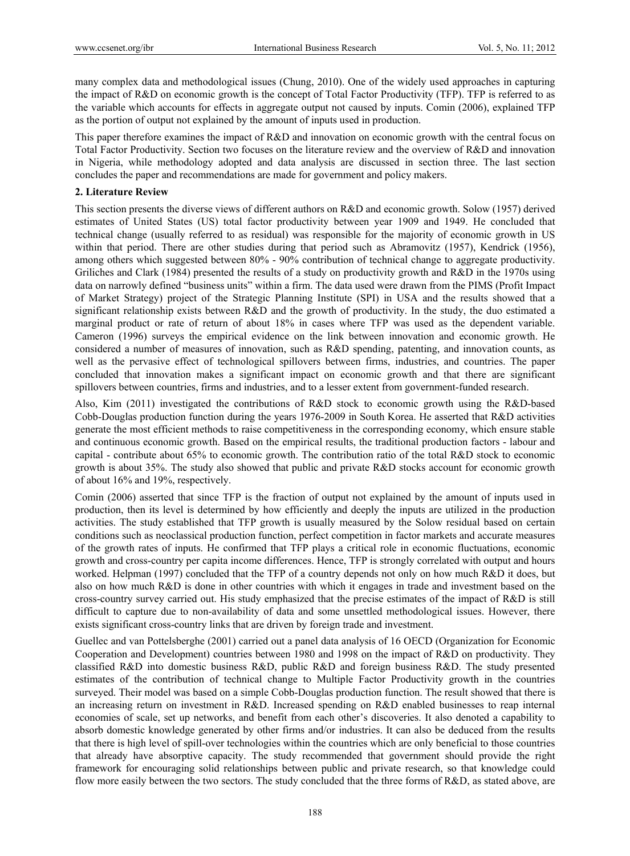many complex data and methodological issues (Chung, 2010). One of the widely used approaches in capturing the impact of R&D on economic growth is the concept of Total Factor Productivity (TFP). TFP is referred to as the variable which accounts for effects in aggregate output not caused by inputs. Comin (2006), explained TFP as the portion of output not explained by the amount of inputs used in production.

This paper therefore examines the impact of R&D and innovation on economic growth with the central focus on Total Factor Productivity. Section two focuses on the literature review and the overview of R&D and innovation in Nigeria, while methodology adopted and data analysis are discussed in section three. The last section concludes the paper and recommendations are made for government and policy makers.

# **2. Literature Review**

This section presents the diverse views of different authors on R&D and economic growth. Solow (1957) derived estimates of United States (US) total factor productivity between year 1909 and 1949. He concluded that technical change (usually referred to as residual) was responsible for the majority of economic growth in US within that period. There are other studies during that period such as Abramovitz (1957), Kendrick (1956), among others which suggested between 80% - 90% contribution of technical change to aggregate productivity. Griliches and Clark (1984) presented the results of a study on productivity growth and R&D in the 1970s using data on narrowly defined "business units" within a firm. The data used were drawn from the PIMS (Profit Impact of Market Strategy) project of the Strategic Planning Institute (SPI) in USA and the results showed that a significant relationship exists between R&D and the growth of productivity. In the study, the duo estimated a marginal product or rate of return of about 18% in cases where TFP was used as the dependent variable. Cameron (1996) surveys the empirical evidence on the link between innovation and economic growth. He considered a number of measures of innovation, such as R&D spending, patenting, and innovation counts, as well as the pervasive effect of technological spillovers between firms, industries, and countries. The paper concluded that innovation makes a significant impact on economic growth and that there are significant spillovers between countries, firms and industries, and to a lesser extent from government-funded research.

Also, Kim (2011) investigated the contributions of R&D stock to economic growth using the R&D-based Cobb-Douglas production function during the years 1976-2009 in South Korea. He asserted that R&D activities generate the most efficient methods to raise competitiveness in the corresponding economy, which ensure stable and continuous economic growth. Based on the empirical results, the traditional production factors - labour and capital - contribute about 65% to economic growth. The contribution ratio of the total R&D stock to economic growth is about 35%. The study also showed that public and private R&D stocks account for economic growth of about 16% and 19%, respectively.

Comin (2006) asserted that since TFP is the fraction of output not explained by the amount of inputs used in production, then its level is determined by how efficiently and deeply the inputs are utilized in the production activities. The study established that TFP growth is usually measured by the Solow residual based on certain conditions such as neoclassical production function, perfect competition in factor markets and accurate measures of the growth rates of inputs. He confirmed that TFP plays a critical role in economic fluctuations, economic growth and cross-country per capita income differences. Hence, TFP is strongly correlated with output and hours worked. Helpman (1997) concluded that the TFP of a country depends not only on how much R&D it does, but also on how much R&D is done in other countries with which it engages in trade and investment based on the cross-country survey carried out. His study emphasized that the precise estimates of the impact of R&D is still difficult to capture due to non-availability of data and some unsettled methodological issues. However, there exists significant cross-country links that are driven by foreign trade and investment.

Guellec and van Pottelsberghe (2001) carried out a panel data analysis of 16 OECD (Organization for Economic Cooperation and Development) countries between 1980 and 1998 on the impact of R&D on productivity. They classified R&D into domestic business R&D, public R&D and foreign business R&D. The study presented estimates of the contribution of technical change to Multiple Factor Productivity growth in the countries surveyed. Their model was based on a simple Cobb-Douglas production function. The result showed that there is an increasing return on investment in R&D. Increased spending on R&D enabled businesses to reap internal economies of scale, set up networks, and benefit from each other's discoveries. It also denoted a capability to absorb domestic knowledge generated by other firms and/or industries. It can also be deduced from the results that there is high level of spill-over technologies within the countries which are only beneficial to those countries that already have absorptive capacity. The study recommended that government should provide the right framework for encouraging solid relationships between public and private research, so that knowledge could flow more easily between the two sectors. The study concluded that the three forms of R&D, as stated above, are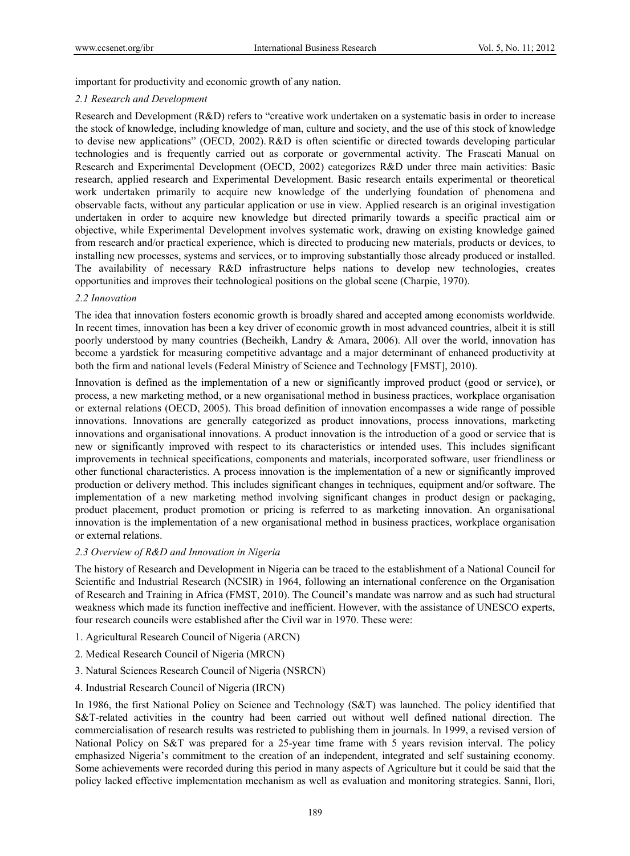important for productivity and economic growth of any nation.

#### *2.1 Research and Development*

Research and Development (R&D) refers to "creative work undertaken on a systematic basis in order to increase the stock of knowledge, including knowledge of man, culture and society, and the use of this stock of knowledge to devise new applications" (OECD, 2002). R&D is often scientific or directed towards developing particular technologies and is frequently carried out as corporate or governmental activity. The Frascati Manual on Research and Experimental Development (OECD, 2002) categorizes R&D under three main activities: Basic research, applied research and Experimental Development. Basic research entails experimental or theoretical work undertaken primarily to acquire new knowledge of the underlying foundation of phenomena and observable facts, without any particular application or use in view. Applied research is an original investigation undertaken in order to acquire new knowledge but directed primarily towards a specific practical aim or objective, while Experimental Development involves systematic work, drawing on existing knowledge gained from research and/or practical experience, which is directed to producing new materials, products or devices, to installing new processes, systems and services, or to improving substantially those already produced or installed. The availability of necessary R&D infrastructure helps nations to develop new technologies, creates opportunities and improves their technological positions on the global scene (Charpie, 1970).

## *2.2 Innovation*

The idea that innovation fosters economic growth is broadly shared and accepted among economists worldwide. In recent times, innovation has been a key driver of economic growth in most advanced countries, albeit it is still poorly understood by many countries (Becheikh, Landry & Amara, 2006). All over the world, innovation has become a yardstick for measuring competitive advantage and a major determinant of enhanced productivity at both the firm and national levels (Federal Ministry of Science and Technology [FMST], 2010).

Innovation is defined as the implementation of a new or significantly improved product (good or service), or process, a new marketing method, or a new organisational method in business practices, workplace organisation or external relations (OECD, 2005). This broad definition of innovation encompasses a wide range of possible innovations. Innovations are generally categorized as product innovations, process innovations, marketing innovations and organisational innovations. A product innovation is the introduction of a good or service that is new or significantly improved with respect to its characteristics or intended uses. This includes significant improvements in technical specifications, components and materials, incorporated software, user friendliness or other functional characteristics. A process innovation is the implementation of a new or significantly improved production or delivery method. This includes significant changes in techniques, equipment and/or software. The implementation of a new marketing method involving significant changes in product design or packaging, product placement, product promotion or pricing is referred to as marketing innovation. An organisational innovation is the implementation of a new organisational method in business practices, workplace organisation or external relations.

## *2.3 Overview of R&D and Innovation in Nigeria*

The history of Research and Development in Nigeria can be traced to the establishment of a National Council for Scientific and Industrial Research (NCSIR) in 1964, following an international conference on the Organisation of Research and Training in Africa (FMST, 2010). The Council's mandate was narrow and as such had structural weakness which made its function ineffective and inefficient. However, with the assistance of UNESCO experts, four research councils were established after the Civil war in 1970. These were:

- 1. Agricultural Research Council of Nigeria (ARCN)
- 2. Medical Research Council of Nigeria (MRCN)
- 3. Natural Sciences Research Council of Nigeria (NSRCN)
- 4. Industrial Research Council of Nigeria (IRCN)

In 1986, the first National Policy on Science and Technology (S&T) was launched. The policy identified that S&T-related activities in the country had been carried out without well defined national direction. The commercialisation of research results was restricted to publishing them in journals. In 1999, a revised version of National Policy on S&T was prepared for a 25-year time frame with 5 years revision interval. The policy emphasized Nigeria's commitment to the creation of an independent, integrated and self sustaining economy. Some achievements were recorded during this period in many aspects of Agriculture but it could be said that the policy lacked effective implementation mechanism as well as evaluation and monitoring strategies. Sanni, Ilori,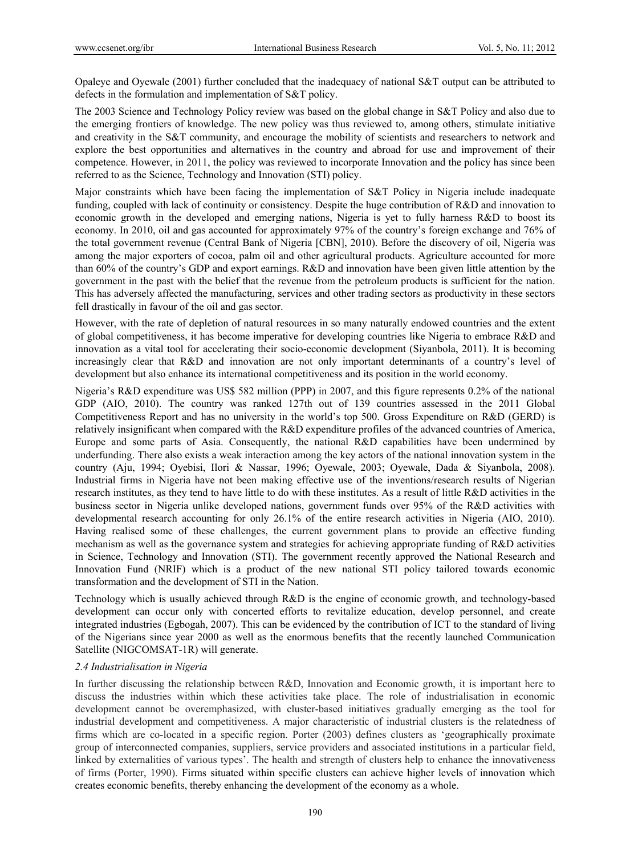Opaleye and Oyewale (2001) further concluded that the inadequacy of national S&T output can be attributed to defects in the formulation and implementation of S&T policy.

The 2003 Science and Technology Policy review was based on the global change in S&T Policy and also due to the emerging frontiers of knowledge. The new policy was thus reviewed to, among others, stimulate initiative and creativity in the S&T community, and encourage the mobility of scientists and researchers to network and explore the best opportunities and alternatives in the country and abroad for use and improvement of their competence. However, in 2011, the policy was reviewed to incorporate Innovation and the policy has since been referred to as the Science, Technology and Innovation (STI) policy.

Major constraints which have been facing the implementation of S&T Policy in Nigeria include inadequate funding, coupled with lack of continuity or consistency. Despite the huge contribution of R&D and innovation to economic growth in the developed and emerging nations, Nigeria is yet to fully harness R&D to boost its economy. In 2010, oil and gas accounted for approximately 97% of the country's foreign exchange and 76% of the total government revenue (Central Bank of Nigeria [CBN], 2010). Before the discovery of oil, Nigeria was among the major exporters of cocoa, palm oil and other agricultural products. Agriculture accounted for more than 60% of the country's GDP and export earnings. R&D and innovation have been given little attention by the government in the past with the belief that the revenue from the petroleum products is sufficient for the nation. This has adversely affected the manufacturing, services and other trading sectors as productivity in these sectors fell drastically in favour of the oil and gas sector.

However, with the rate of depletion of natural resources in so many naturally endowed countries and the extent of global competitiveness, it has become imperative for developing countries like Nigeria to embrace R&D and innovation as a vital tool for accelerating their socio-economic development (Siyanbola, 2011). It is becoming increasingly clear that R&D and innovation are not only important determinants of a country's level of development but also enhance its international competitiveness and its position in the world economy.

Nigeria's R&D expenditure was US\$ 582 million (PPP) in 2007, and this figure represents 0.2% of the national GDP (AIO, 2010). The country was ranked 127th out of 139 countries assessed in the 2011 Global Competitiveness Report and has no university in the world's top 500. Gross Expenditure on R&D (GERD) is relatively insignificant when compared with the R&D expenditure profiles of the advanced countries of America, Europe and some parts of Asia. Consequently, the national R&D capabilities have been undermined by underfunding. There also exists a weak interaction among the key actors of the national innovation system in the country (Aju, 1994; Oyebisi, Ilori & Nassar, 1996; Oyewale, 2003; Oyewale, Dada & Siyanbola, 2008). Industrial firms in Nigeria have not been making effective use of the inventions/research results of Nigerian research institutes, as they tend to have little to do with these institutes. As a result of little R&D activities in the business sector in Nigeria unlike developed nations, government funds over 95% of the R&D activities with developmental research accounting for only 26.1% of the entire research activities in Nigeria (AIO, 2010). Having realised some of these challenges, the current government plans to provide an effective funding mechanism as well as the governance system and strategies for achieving appropriate funding of R&D activities in Science, Technology and Innovation (STI). The government recently approved the National Research and Innovation Fund (NRIF) which is a product of the new national STI policy tailored towards economic transformation and the development of STI in the Nation.

Technology which is usually achieved through R&D is the engine of economic growth, and technology-based development can occur only with concerted efforts to revitalize education, develop personnel, and create integrated industries (Egbogah, 2007). This can be evidenced by the contribution of ICT to the standard of living of the Nigerians since year 2000 as well as the enormous benefits that the recently launched Communication Satellite (NIGCOMSAT-1R) will generate.

## *2.4 Industrialisation in Nigeria*

In further discussing the relationship between R&D, Innovation and Economic growth, it is important here to discuss the industries within which these activities take place. The role of industrialisation in economic development cannot be overemphasized, with cluster-based initiatives gradually emerging as the tool for industrial development and competitiveness. A major characteristic of industrial clusters is the relatedness of firms which are co-located in a specific region. Porter (2003) defines clusters as 'geographically proximate group of interconnected companies, suppliers, service providers and associated institutions in a particular field, linked by externalities of various types'. The health and strength of clusters help to enhance the innovativeness of firms (Porter, 1990). Firms situated within specific clusters can achieve higher levels of innovation which creates economic benefits, thereby enhancing the development of the economy as a whole.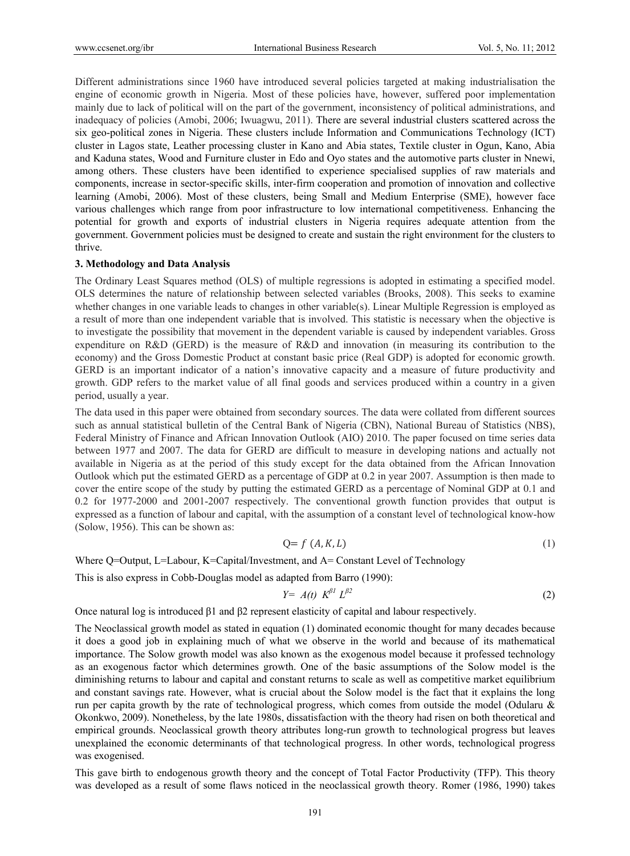Different administrations since 1960 have introduced several policies targeted at making industrialisation the engine of economic growth in Nigeria. Most of these policies have, however, suffered poor implementation mainly due to lack of political will on the part of the government, inconsistency of political administrations, and inadequacy of policies (Amobi, 2006; Iwuagwu, 2011). There are several industrial clusters scattered across the six geo-political zones in Nigeria. These clusters include Information and Communications Technology (ICT) cluster in Lagos state, Leather processing cluster in Kano and Abia states, Textile cluster in Ogun, Kano, Abia and Kaduna states, Wood and Furniture cluster in Edo and Oyo states and the automotive parts cluster in Nnewi, among others. These clusters have been identified to experience specialised supplies of raw materials and components, increase in sector-specific skills, inter-firm cooperation and promotion of innovation and collective learning (Amobi, 2006). Most of these clusters, being Small and Medium Enterprise (SME), however face various challenges which range from poor infrastructure to low international competitiveness. Enhancing the potential for growth and exports of industrial clusters in Nigeria requires adequate attention from the government. Government policies must be designed to create and sustain the right environment for the clusters to thrive.

## **3. Methodology and Data Analysis**

The Ordinary Least Squares method (OLS) of multiple regressions is adopted in estimating a specified model. OLS determines the nature of relationship between selected variables (Brooks, 2008). This seeks to examine whether changes in one variable leads to changes in other variable(s). Linear Multiple Regression is employed as a result of more than one independent variable that is involved. This statistic is necessary when the objective is to investigate the possibility that movement in the dependent variable is caused by independent variables. Gross expenditure on R&D (GERD) is the measure of R&D and innovation (in measuring its contribution to the economy) and the Gross Domestic Product at constant basic price (Real GDP) is adopted for economic growth. GERD is an important indicator of a nation's innovative capacity and a measure of future productivity and growth. GDP refers to the market value of all final goods and services produced within a country in a given period, usually a year.

The data used in this paper were obtained from secondary sources. The data were collated from different sources such as annual statistical bulletin of the Central Bank of Nigeria (CBN), National Bureau of Statistics (NBS), Federal Ministry of Finance and African Innovation Outlook (AIO) 2010. The paper focused on time series data between 1977 and 2007. The data for GERD are difficult to measure in developing nations and actually not available in Nigeria as at the period of this study except for the data obtained from the African Innovation Outlook which put the estimated GERD as a percentage of GDP at 0.2 in year 2007. Assumption is then made to cover the entire scope of the study by putting the estimated GERD as a percentage of Nominal GDP at 0.1 and 0.2 for 1977-2000 and 2001-2007 respectively. The conventional growth function provides that output is expressed as a function of labour and capital, with the assumption of a constant level of technological know-how (Solow, 1956). This can be shown as:

$$
Q = f(A, K, L) \tag{1}
$$

Where Q=Output, L=Labour, K=Capital/Investment, and A= Constant Level of Technology

This is also express in Cobb-Douglas model as adapted from Barro (1990):

$$
Y = A(t) K^{\beta I} L^{\beta 2}
$$
 (2)

Once natural log is introduced β1 and β2 represent elasticity of capital and labour respectively.

The Neoclassical growth model as stated in equation (1) dominated economic thought for many decades because it does a good job in explaining much of what we observe in the world and because of its mathematical importance. The Solow growth model was also known as the exogenous model because it professed technology as an exogenous factor which determines growth. One of the basic assumptions of the Solow model is the diminishing returns to labour and capital and constant returns to scale as well as competitive market equilibrium and constant savings rate. However, what is crucial about the Solow model is the fact that it explains the long run per capita growth by the rate of technological progress, which comes from outside the model (Odularu & Okonkwo, 2009). Nonetheless, by the late 1980s, dissatisfaction with the theory had risen on both theoretical and empirical grounds. Neoclassical growth theory attributes long-run growth to technological progress but leaves unexplained the economic determinants of that technological progress. In other words, technological progress was exogenised.

This gave birth to endogenous growth theory and the concept of Total Factor Productivity (TFP). This theory was developed as a result of some flaws noticed in the neoclassical growth theory. Romer (1986, 1990) takes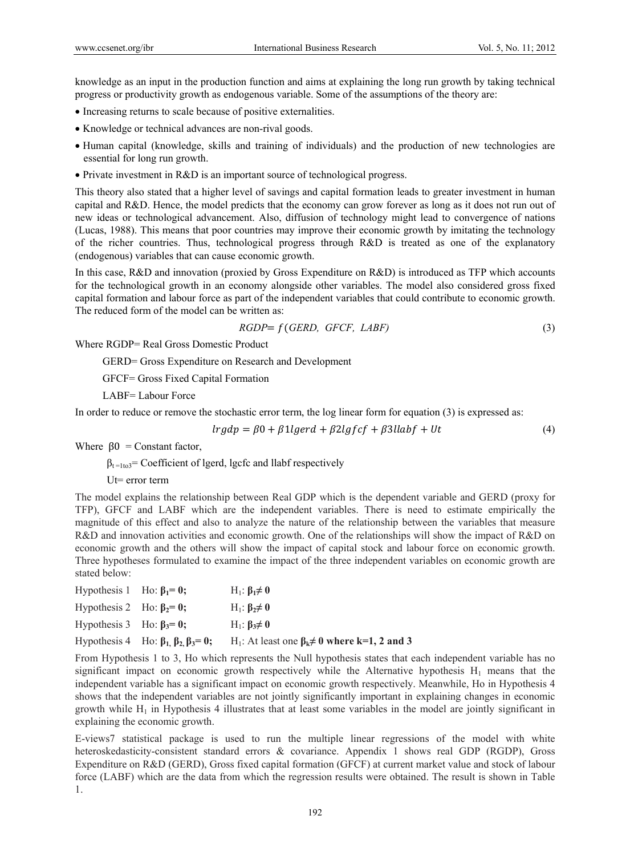knowledge as an input in the production function and aims at explaining the long run growth by taking technical progress or productivity growth as endogenous variable. Some of the assumptions of the theory are:

- Increasing returns to scale because of positive externalities.
- Knowledge or technical advances are non-rival goods.
- Human capital (knowledge, skills and training of individuals) and the production of new technologies are essential for long run growth.
- Private investment in R&D is an important source of technological progress.

This theory also stated that a higher level of savings and capital formation leads to greater investment in human capital and R&D. Hence, the model predicts that the economy can grow forever as long as it does not run out of new ideas or technological advancement. Also, diffusion of technology might lead to convergence of nations (Lucas, 1988). This means that poor countries may improve their economic growth by imitating the technology of the richer countries. Thus, technological progress through R&D is treated as one of the explanatory (endogenous) variables that can cause economic growth.

In this case, R&D and innovation (proxied by Gross Expenditure on R&D) is introduced as TFP which accounts for the technological growth in an economy alongside other variables. The model also considered gross fixed capital formation and labour force as part of the independent variables that could contribute to economic growth. The reduced form of the model can be written as:

$$
RGDP = f(GERD, GFCF, LABF)
$$
\n
$$
(3)
$$

Where RGDP= Real Gross Domestic Product

GERD= Gross Expenditure on Research and Development

GFCF= Gross Fixed Capital Formation

LABF= Labour Force

In order to reduce or remove the stochastic error term, the log linear form for equation (3) is expressed as:

$$
lrgdp = \beta 0 + \beta 1lgerd + \beta 2lgfcf + \beta 3llabf + Ut
$$
\n(4)

Where  $\beta 0 =$  Constant factor,

 $\beta_{t=1t03}$ = Coefficient of lgerd, lgcfc and llabf respectively

 $Ut=$  error term

The model explains the relationship between Real GDP which is the dependent variable and GERD (proxy for TFP), GFCF and LABF which are the independent variables. There is need to estimate empirically the magnitude of this effect and also to analyze the nature of the relationship between the variables that measure R&D and innovation activities and economic growth. One of the relationships will show the impact of R&D on economic growth and the others will show the impact of capital stock and labour force on economic growth. Three hypotheses formulated to examine the impact of the three independent variables on economic growth are stated below:

| Hypothesis 1 Ho: $\beta_1 = 0$ ; |                                                          | $H_1: \beta_1 \neq 0$                                             |
|----------------------------------|----------------------------------------------------------|-------------------------------------------------------------------|
| Hypothesis 2 Ho: $\beta_2 = 0$ ; |                                                          | $H_1$ : $\beta_2 \neq 0$                                          |
| Hypothesis 3 Ho: $\beta_3 = 0$ ; |                                                          | H <sub>1</sub> : $\beta_3 \neq 0$                                 |
|                                  | Hypothesis 4 Ho: $\beta_1$ , $\beta_2$ , $\beta_3 = 0$ ; | H <sub>1</sub> : At least one $\beta_k \neq 0$ where k=1, 2 and 3 |

From Hypothesis 1 to 3, Ho which represents the Null hypothesis states that each independent variable has no significant impact on economic growth respectively while the Alternative hypothesis  $H_1$  means that the independent variable has a significant impact on economic growth respectively. Meanwhile, Ho in Hypothesis 4 shows that the independent variables are not jointly significantly important in explaining changes in economic growth while  $H_1$  in Hypothesis 4 illustrates that at least some variables in the model are jointly significant in explaining the economic growth.

E-views7 statistical package is used to run the multiple linear regressions of the model with white heteroskedasticity-consistent standard errors & covariance. Appendix 1 shows real GDP (RGDP), Gross Expenditure on R&D (GERD), Gross fixed capital formation (GFCF) at current market value and stock of labour force (LABF) which are the data from which the regression results were obtained. The result is shown in Table 1.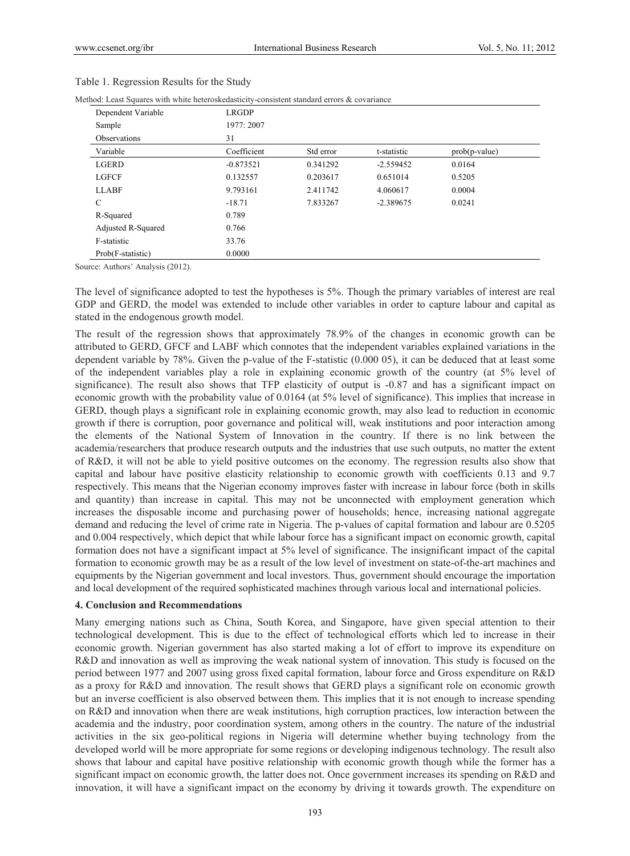| Dependent Variable | <b>LRGDP</b> |           |             |                 |
|--------------------|--------------|-----------|-------------|-----------------|
| Sample             | 1977: 2007   |           |             |                 |
| Observations       | 31           |           |             |                 |
| Variable           | Coefficient  | Std error | t-statistic | $prob(p-value)$ |
| <b>LGERD</b>       | $-0.873521$  | 0.341292  | $-2.559452$ | 0.0164          |
| <b>LGFCF</b>       | 0.132557     | 0.203617  | 0.651014    | 0.5205          |
| <b>LLABE</b>       | 9.793161     | 2.411742  | 4.060617    | 0.0004          |
| C                  | $-18.71$     | 7.833267  | $-2.389675$ | 0.0241          |
| R-Squared          | 0.789        |           |             |                 |
| Adjusted R-Squared | 0.766        |           |             |                 |
| F-statistic        | 33.76        |           |             |                 |
| Prob(F-statistic)  | 0.0000       |           |             |                 |

#### Table 1. Regression Results for the Study

|  |  |  | Method: Least Squares with white heteroskedasticity-consistent standard errors & covariance |
|--|--|--|---------------------------------------------------------------------------------------------|
|  |  |  |                                                                                             |

Source: Authors' Analysis (2012).

The level of significance adopted to test the hypotheses is 5%. Though the primary variables of interest are real GDP and GERD, the model was extended to include other variables in order to capture labour and capital as stated in the endogenous growth model.

The result of the regression shows that approximately 78.9% of the changes in economic growth can be attributed to GERD, GFCF and LABF which connotes that the independent variables explained variations in the dependent variable by 78%. Given the p-value of the F-statistic (0.000 05), it can be deduced that at least some of the independent variables play a role in explaining economic growth of the country (at 5% level of significance). The result also shows that TFP elasticity of output is -0.87 and has a significant impact on economic growth with the probability value of 0.0164 (at 5% level of significance). This implies that increase in GERD, though plays a significant role in explaining economic growth, may also lead to reduction in economic growth if there is corruption, poor governance and political will, weak institutions and poor interaction among the elements of the National System of Innovation in the country. If there is no link between the academia/researchers that produce research outputs and the industries that use such outputs, no matter the extent of R&D, it will not be able to yield positive outcomes on the economy. The regression results also show that capital and labour have positive elasticity relationship to economic growth with coefficients 0.13 and 9.7 respectively. This means that the Nigerian economy improves faster with increase in labour force (both in skills and quantity) than increase in capital. This may not be unconnected with employment generation which increases the disposable income and purchasing power of households; hence, increasing national aggregate demand and reducing the level of crime rate in Nigeria. The p-values of capital formation and labour are 0.5205 and 0.004 respectively, which depict that while labour force has a significant impact on economic growth, capital formation does not have a significant impact at 5% level of significance. The insignificant impact of the capital formation to economic growth may be as a result of the low level of investment on state-of-the-art machines and equipments by the Nigerian government and local investors. Thus, government should encourage the importation and local development of the required sophisticated machines through various local and international policies.

#### **4. Conclusion and Recommendations**

Many emerging nations such as China, South Korea, and Singapore, have given special attention to their technological development. This is due to the effect of technological efforts which led to increase in their economic growth. Nigerian government has also started making a lot of effort to improve its expenditure on R&D and innovation as well as improving the weak national system of innovation. This study is focused on the period between 1977 and 2007 using gross fixed capital formation, labour force and Gross expenditure on R&D as a proxy for R&D and innovation. The result shows that GERD plays a significant role on economic growth but an inverse coefficient is also observed between them. This implies that it is not enough to increase spending on R&D and innovation when there are weak institutions, high corruption practices, low interaction between the academia and the industry, poor coordination system, among others in the country. The nature of the industrial activities in the six geo-political regions in Nigeria will determine whether buying technology from the developed world will be more appropriate for some regions or developing indigenous technology. The result also shows that labour and capital have positive relationship with economic growth though while the former has a significant impact on economic growth, the latter does not. Once government increases its spending on R&D and innovation, it will have a significant impact on the economy by driving it towards growth. The expenditure on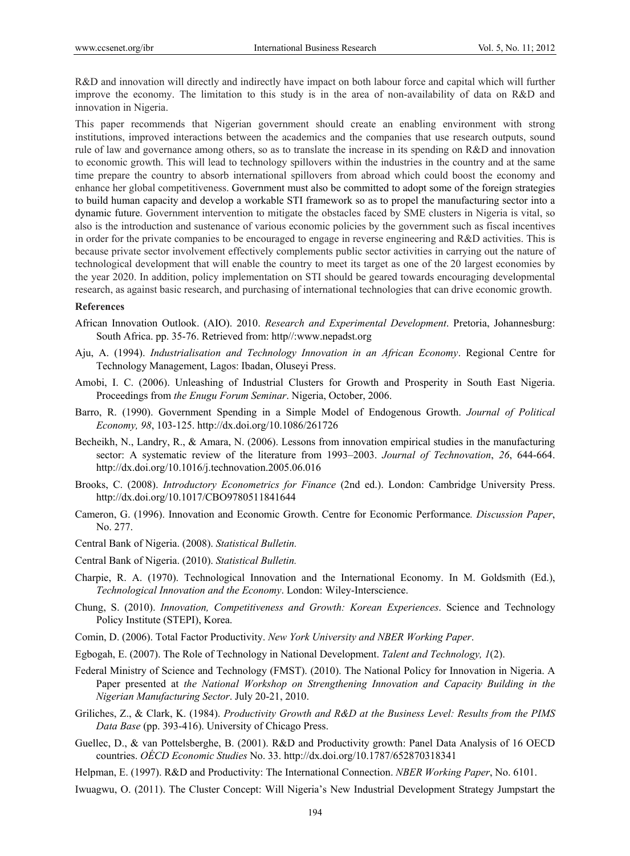R&D and innovation will directly and indirectly have impact on both labour force and capital which will further improve the economy. The limitation to this study is in the area of non-availability of data on R&D and innovation in Nigeria.

This paper recommends that Nigerian government should create an enabling environment with strong institutions, improved interactions between the academics and the companies that use research outputs, sound rule of law and governance among others, so as to translate the increase in its spending on R&D and innovation to economic growth. This will lead to technology spillovers within the industries in the country and at the same time prepare the country to absorb international spillovers from abroad which could boost the economy and enhance her global competitiveness. Government must also be committed to adopt some of the foreign strategies to build human capacity and develop a workable STI framework so as to propel the manufacturing sector into a dynamic future. Government intervention to mitigate the obstacles faced by SME clusters in Nigeria is vital, so also is the introduction and sustenance of various economic policies by the government such as fiscal incentives in order for the private companies to be encouraged to engage in reverse engineering and R&D activities. This is because private sector involvement effectively complements public sector activities in carrying out the nature of technological development that will enable the country to meet its target as one of the 20 largest economies by the year 2020. In addition, policy implementation on STI should be geared towards encouraging developmental research, as against basic research, and purchasing of international technologies that can drive economic growth.

# **References**

- African Innovation Outlook. (AIO). 2010. *Research and Experimental Development*. Pretoria, Johannesburg: South Africa. pp. 35-76. Retrieved from: http//:www.nepadst.org
- Aju, A. (1994). *Industrialisation and Technology Innovation in an African Economy*. Regional Centre for Technology Management, Lagos: Ibadan, Oluseyi Press.
- Amobi, I. C. (2006). Unleashing of Industrial Clusters for Growth and Prosperity in South East Nigeria. Proceedings from *the Enugu Forum Seminar*. Nigeria, October, 2006.
- Barro, R. (1990). Government Spending in a Simple Model of Endogenous Growth. *Journal of Political Economy, 98*, 103-125. http://dx.doi.org/10.1086/261726
- Becheikh, N., Landry, R., & Amara, N. (2006). Lessons from innovation empirical studies in the manufacturing sector: A systematic review of the literature from 1993–2003. *Journal of Technovation*, *26*, 644-664. http://dx.doi.org/10.1016/j.technovation.2005.06.016
- Brooks, C. (2008). *Introductory Econometrics for Finance* (2nd ed.). London: Cambridge University Press. http://dx.doi.org/10.1017/CBO9780511841644
- Cameron, G. (1996). Innovation and Economic Growth. Centre for Economic Performance*. Discussion Paper*, No. 277.
- Central Bank of Nigeria. (2008). *Statistical Bulletin.*
- Central Bank of Nigeria. (2010). *Statistical Bulletin.*
- Charpie, R. A. (1970). Technological Innovation and the International Economy. In M. Goldsmith (Ed.), *Technological Innovation and the Economy*. London: Wiley-Interscience.
- Chung, S. (2010). *Innovation, Competitiveness and Growth: Korean Experiences*. Science and Technology Policy Institute (STEPI), Korea.
- Comin, D. (2006). Total Factor Productivity. *New York University and NBER Working Paper*.
- Egbogah, E. (2007). The Role of Technology in National Development. *Talent and Technology, 1*(2).
- Federal Ministry of Science and Technology (FMST). (2010). The National Policy for Innovation in Nigeria. A Paper presented at *the National Workshop on Strengthening Innovation and Capacity Building in the Nigerian Manufacturing Sector*. July 20-21, 2010.
- Griliches, Z., & Clark, K. (1984). *Productivity Growth and R&D at the Business Level: Results from the PIMS Data Base* (pp. 393-416). University of Chicago Press.
- Guellec, D., & van Pottelsberghe, B. (2001). R&D and Productivity growth: Panel Data Analysis of 16 OECD countries. *OÉCD Economic Studies* No. 33. http://dx.doi.org/10.1787/652870318341
- Helpman, E. (1997). R&D and Productivity: The International Connection. *NBER Working Paper*, No. 6101.
- Iwuagwu, O. (2011). The Cluster Concept: Will Nigeria's New Industrial Development Strategy Jumpstart the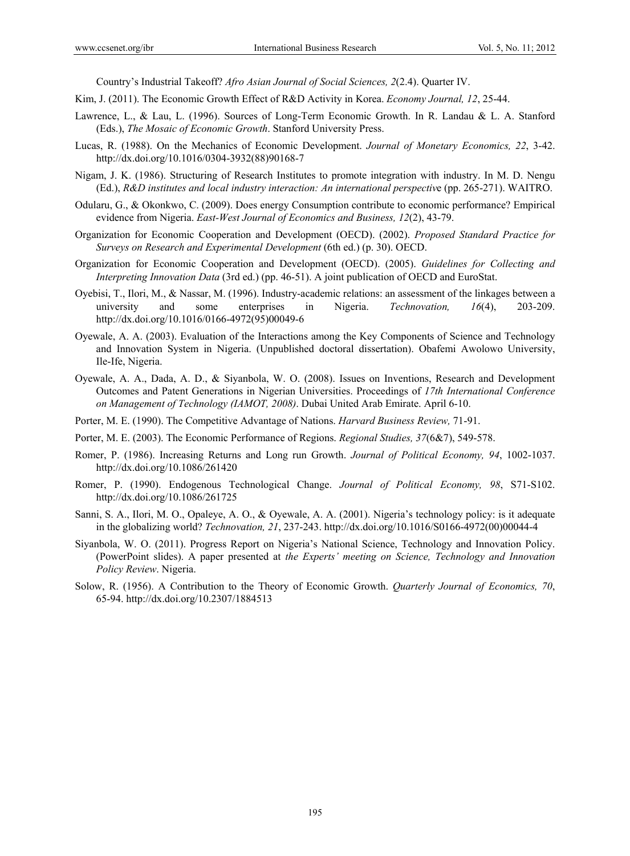Country's Industrial Takeoff? *Afro Asian Journal of Social Sciences, 2*(2.4). Quarter IV.

- Kim, J. (2011). The Economic Growth Effect of R&D Activity in Korea. *Economy Journal, 12*, 25-44.
- Lawrence, L., & Lau, L. (1996). Sources of Long-Term Economic Growth. In R. Landau & L. A. Stanford (Eds.), *The Mosaic of Economic Growth*. Stanford University Press.
- Lucas, R. (1988). On the Mechanics of Economic Development. *Journal of Monetary Economics, 22*, 3-42. http://dx.doi.org/10.1016/0304-3932(88)90168-7
- Nigam, J. K. (1986). Structuring of Research Institutes to promote integration with industry. In M. D. Nengu (Ed.), *R&D institutes and local industry interaction: An international perspectiv*e (pp. 265-271). WAITRO.
- Odularu, G., & Okonkwo, C. (2009). Does energy Consumption contribute to economic performance? Empirical evidence from Nigeria. *East-West Journal of Economics and Business, 12*(2), 43-79.
- Organization for Economic Cooperation and Development (OECD). (2002). *Proposed Standard Practice for Surveys on Research and Experimental Development* (6th ed.) (p. 30). OECD.
- Organization for Economic Cooperation and Development (OECD). (2005). *Guidelines for Collecting and Interpreting Innovation Data* (3rd ed.) (pp. 46-51). A joint publication of OECD and EuroStat.
- Oyebisi, T., Ilori, M., & Nassar, M. (1996). Industry-academic relations: an assessment of the linkages between a university and some enterprises in Nigeria. *Technovation, 16*(4), 203-209. http://dx.doi.org/10.1016/0166-4972(95)00049-6
- Oyewale, A. A. (2003). Evaluation of the Interactions among the Key Components of Science and Technology and Innovation System in Nigeria. (Unpublished doctoral dissertation). Obafemi Awolowo University, Ile-Ife, Nigeria.
- Oyewale, A. A., Dada, A. D., & Siyanbola, W. O. (2008). Issues on Inventions, Research and Development Outcomes and Patent Generations in Nigerian Universities. Proceedings of *17th International Conference on Management of Technology (IAMOT, 2008)*. Dubai United Arab Emirate. April 6-10.
- Porter, M. E. (1990). The Competitive Advantage of Nations. *Harvard Business Review,* 71-91.
- Porter, M. E. (2003). The Economic Performance of Regions. *Regional Studies, 37*(6&7), 549-578.
- Romer, P. (1986). Increasing Returns and Long run Growth. *Journal of Political Economy, 94*, 1002-1037. http://dx.doi.org/10.1086/261420
- Romer, P. (1990). Endogenous Technological Change. *Journal of Political Economy, 98*, S71-S102. http://dx.doi.org/10.1086/261725
- Sanni, S. A., Ilori, M. O., Opaleye, A. O., & Oyewale, A. A. (2001). Nigeria's technology policy: is it adequate in the globalizing world? *Technovation, 21*, 237-243. http://dx.doi.org/10.1016/S0166-4972(00)00044-4
- Siyanbola, W. O. (2011). Progress Report on Nigeria's National Science, Technology and Innovation Policy. (PowerPoint slides). A paper presented at *the Experts' meeting on Science, Technology and Innovation Policy Review*. Nigeria.
- Solow, R. (1956). A Contribution to the Theory of Economic Growth. *Quarterly Journal of Economics, 70*, 65-94. http://dx.doi.org/10.2307/1884513